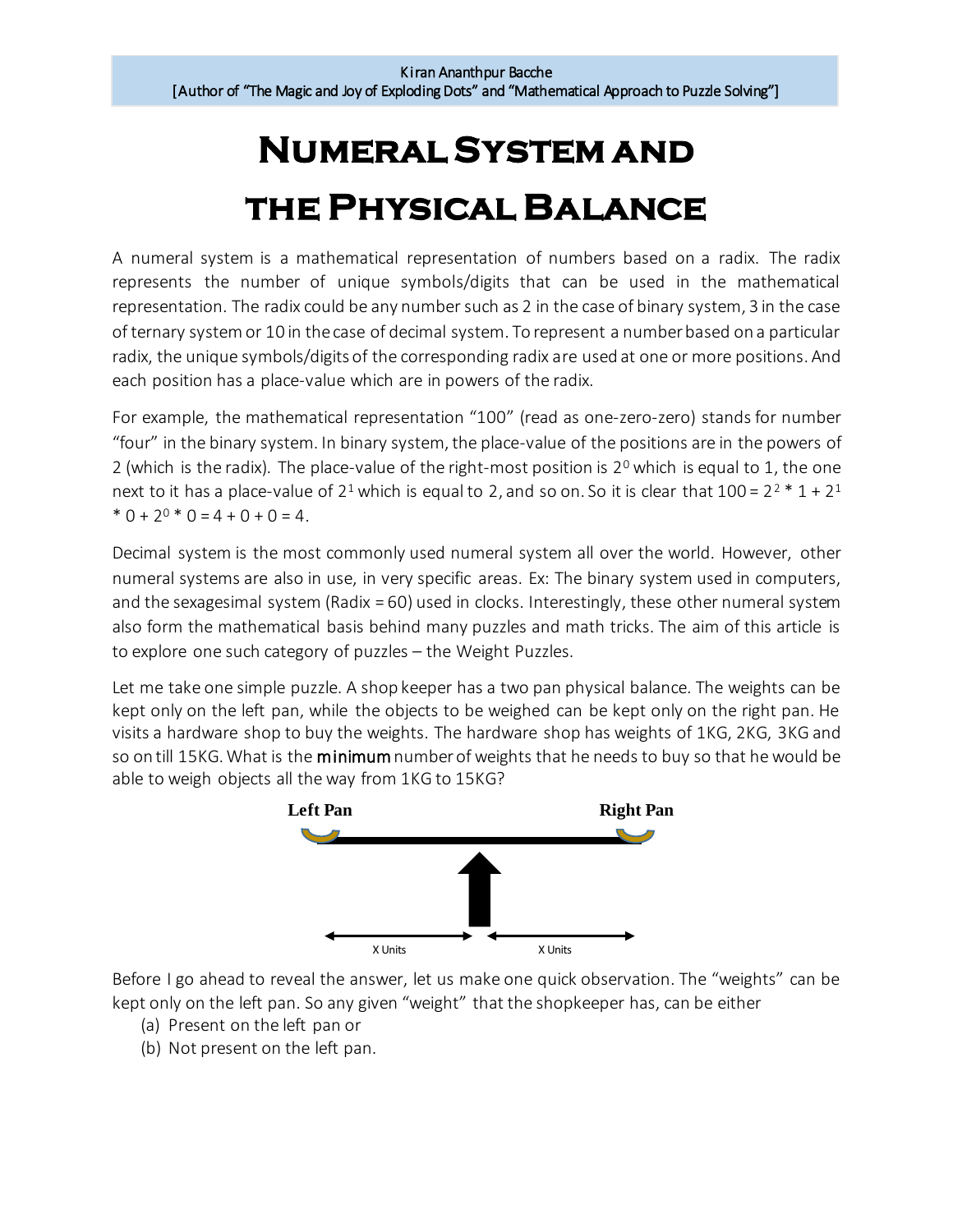## **Numeral System and the Physical Balance**

A numeral system is a mathematical representation of numbers based on a radix. The radix represents the number of unique symbols/digits that can be used in the mathematical representation. The radix could be any number such as 2 in the case of binary system, 3 in the case of ternary systemor 10 in the case of decimal system. To represent a number based on a particular radix, the unique symbols/digits of the corresponding radix are used at one or more positions. And each position has a place-value which are in powers of the radix.

For example, the mathematical representation "100" (read as one-zero-zero) stands for number "four" in the binary system. In binary system, the place-value of the positions are in the powers of 2 (which is the radix). The place-value of the right-most position is  $2^{\circ}$  which is equal to 1, the one next to it has a place-value of 2<sup>1</sup> which is equal to 2, and so on. So it is clear that  $100 = 2^2 * 1 + 2^1$  $* 0 + 2^0 * 0 = 4 + 0 + 0 = 4.$ 

Decimal system is the most commonly used numeral system all over the world. However, other numeral systems are also in use, in very specific areas. Ex: The binary system used in computers, and the sexagesimal system (Radix = 60) used in clocks. Interestingly, these other numeral system also form the mathematical basis behind many puzzles and math tricks. The aim of this article is to explore one such category of puzzles – the Weight Puzzles.

Let me take one simple puzzle. A shop keeper has a two pan physical balance. The weights can be kept only on the left pan, while the objects to be weighed can be kept only on the right pan. He visits a hardware shop to buy the weights. The hardware shop has weights of 1KG, 2KG, 3KG and so on till 15KG. What is the minimum number of weights that he needs to buy so that he would be able to weigh objects all the way from 1KG to 15KG?



Before I go ahead to reveal the answer, let us make one quick observation. The "weights" can be kept only on the left pan. So any given "weight" that the shopkeeper has, can be either

- (a) Present on the left pan or
- (b) Not present on the left pan.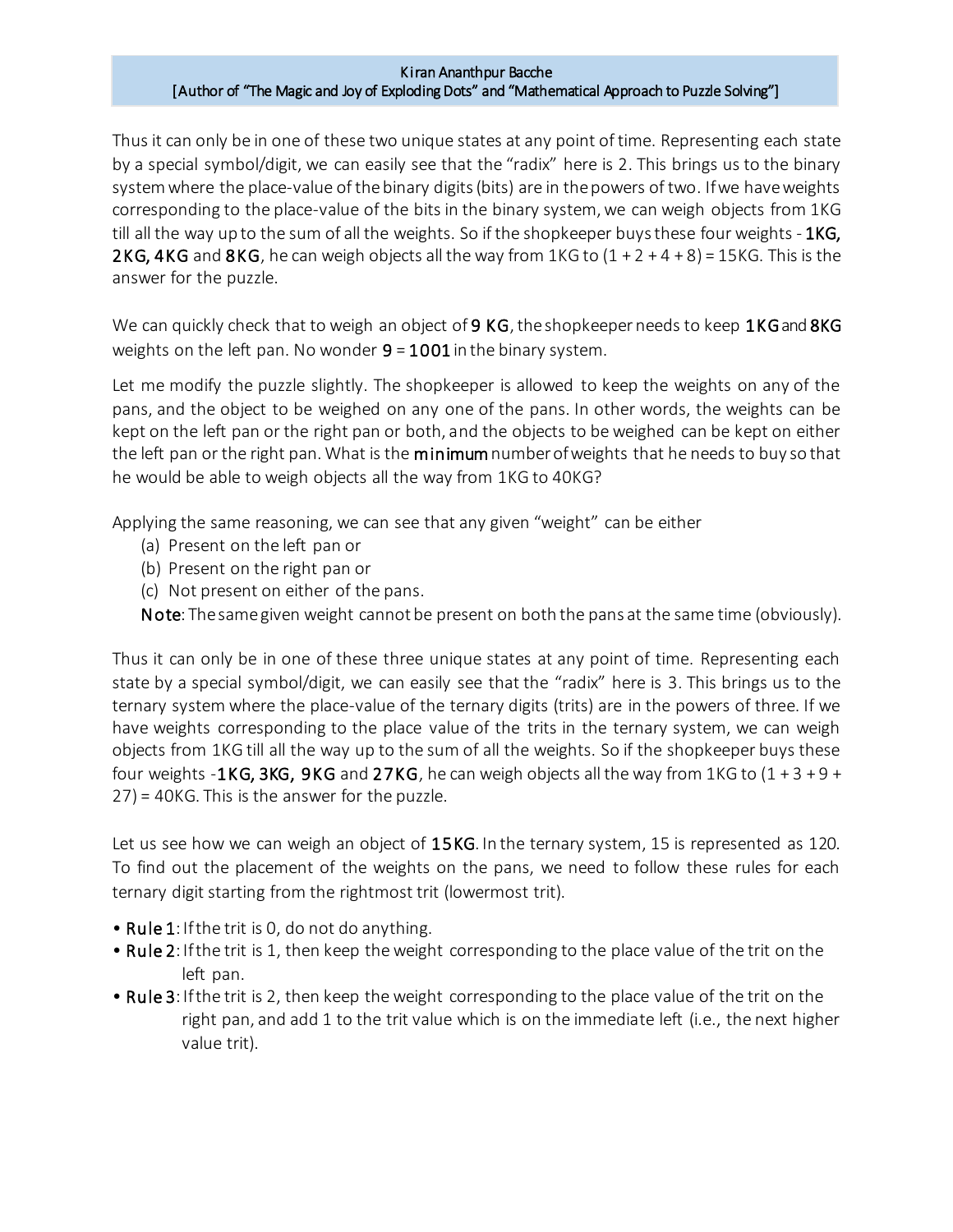## Kiran Ananthpur Bacche [Author of "The Magic and Joy of Exploding Dots" and "Mathematical Approach to Puzzle Solving"]

Thus it can only be in one of these two unique states at any point of time. Representing each state by a special symbol/digit, we can easily see that the "radix" here is 2. This brings us to the binary system where the place-value of the binary digits(bits) are in the powers of two. If we have weights corresponding to the place-value of the bits in the binary system, we can weigh objects from 1KG till all the way up to the sum of all the weights. So if the shopkeeper buys these four weights - 1KG, 2KG, 4KG and 8KG, he can weigh objects all the way from  $1KG$  to  $(1 + 2 + 4 + 8) = 15KG$ . This is the answer for the puzzle.

We can quickly check that to weigh an object of 9 KG, the shopkeeper needs to keep  $1KG$  and 8KG weights on the left pan. No wonder  $9 = 1001$  in the binary system.

Let me modify the puzzle slightly. The shopkeeper is allowed to keep the weights on any of the pans, and the object to be weighed on any one of the pans. In other words, the weights can be kept on the left pan or the right pan or both, and the objects to be weighed can be kept on either the left pan or the right pan. What is the minimum number of weights that he needs to buy so that he would be able to weigh objects all the way from 1KG to 40KG?

Applying the same reasoning, we can see that any given "weight" can be either

- (a) Present on the left pan or
- (b) Present on the right pan or
- (c) Not present on either of the pans.

Note: Thesame given weight cannot be present on both the pans at the same time (obviously).

Thus it can only be in one of these three unique states at any point of time. Representing each state by a special symbol/digit, we can easily see that the "radix" here is 3. This brings us to the ternary system where the place-value of the ternary digits (trits) are in the powers of three. If we have weights corresponding to the place value of the trits in the ternary system, we can weigh objects from 1KG till all the way up to the sum of all the weights. So if the shopkeeper buys these four weights -1KG, 3KG, 9KG and 27KG, he can weigh objects all the way from 1KG to  $(1 + 3 + 9 + 1)$ 27) = 40KG. This is the answer for the puzzle.

Let us see how we can weigh an object of 15KG. In the ternary system, 15 is represented as 120. To find out the placement of the weights on the pans, we need to follow these rules for each ternary digit starting from the rightmost trit (lowermost trit).

- Rule 1: If the trit is 0, do not do anything.
- Rule 2: If the trit is 1, then keep the weight corresponding to the place value of the trit on the left pan.
- Rule 3: If the trit is 2, then keep the weight corresponding to the place value of the trit on the right pan, and add 1 to the trit value which is on the immediate left (i.e., the next higher value trit).